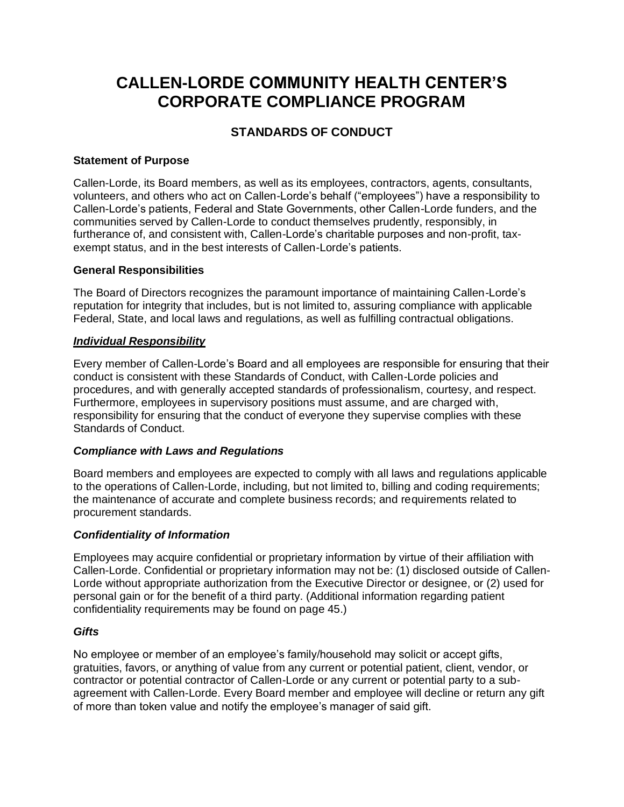# **CALLEN-LORDE COMMUNITY HEALTH CENTER'S CORPORATE COMPLIANCE PROGRAM**

# **STANDARDS OF CONDUCT**

# **Statement of Purpose**

Callen-Lorde, its Board members, as well as its employees, contractors, agents, consultants, volunteers, and others who act on Callen-Lorde's behalf ("employees") have a responsibility to Callen-Lorde's patients, Federal and State Governments, other Callen-Lorde funders, and the communities served by Callen-Lorde to conduct themselves prudently, responsibly, in furtherance of, and consistent with, Callen-Lorde's charitable purposes and non-profit, taxexempt status, and in the best interests of Callen-Lorde's patients.

# **General Responsibilities**

The Board of Directors recognizes the paramount importance of maintaining Callen-Lorde's reputation for integrity that includes, but is not limited to, assuring compliance with applicable Federal, State, and local laws and regulations, as well as fulfilling contractual obligations.

# *Individual Responsibility*

Every member of Callen-Lorde's Board and all employees are responsible for ensuring that their conduct is consistent with these Standards of Conduct, with Callen-Lorde policies and procedures, and with generally accepted standards of professionalism, courtesy, and respect. Furthermore, employees in supervisory positions must assume, and are charged with, responsibility for ensuring that the conduct of everyone they supervise complies with these Standards of Conduct.

# *Compliance with Laws and Regulations*

Board members and employees are expected to comply with all laws and regulations applicable to the operations of Callen-Lorde, including, but not limited to, billing and coding requirements; the maintenance of accurate and complete business records; and requirements related to procurement standards.

# *Confidentiality of Information*

Employees may acquire confidential or proprietary information by virtue of their affiliation with Callen-Lorde. Confidential or proprietary information may not be: (1) disclosed outside of Callen-Lorde without appropriate authorization from the Executive Director or designee, or (2) used for personal gain or for the benefit of a third party. (Additional information regarding patient confidentiality requirements may be found on page 45.)

# *Gifts*

No employee or member of an employee's family/household may solicit or accept gifts, gratuities, favors, or anything of value from any current or potential patient, client, vendor, or contractor or potential contractor of Callen-Lorde or any current or potential party to a subagreement with Callen-Lorde. Every Board member and employee will decline or return any gift of more than token value and notify the employee's manager of said gift.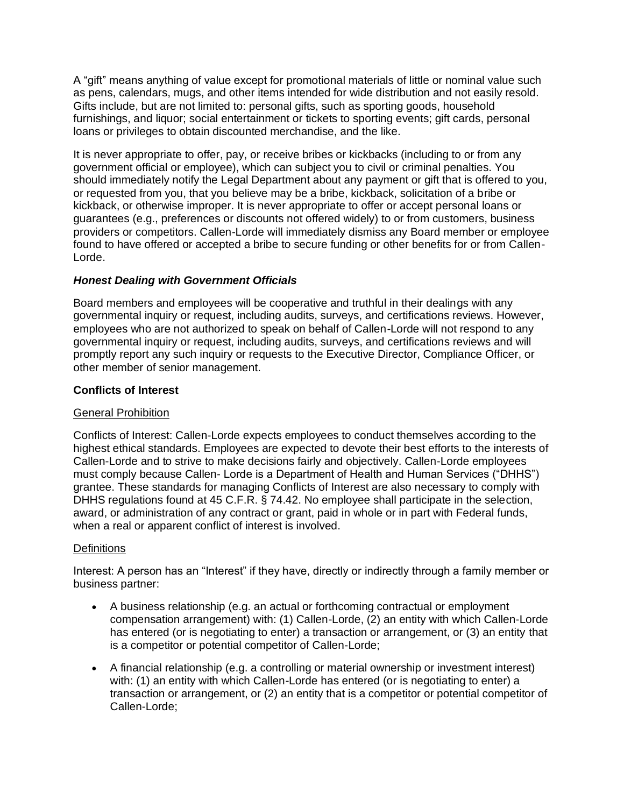A "gift" means anything of value except for promotional materials of little or nominal value such as pens, calendars, mugs, and other items intended for wide distribution and not easily resold. Gifts include, but are not limited to: personal gifts, such as sporting goods, household furnishings, and liquor; social entertainment or tickets to sporting events; gift cards, personal loans or privileges to obtain discounted merchandise, and the like.

It is never appropriate to offer, pay, or receive bribes or kickbacks (including to or from any government official or employee), which can subject you to civil or criminal penalties. You should immediately notify the Legal Department about any payment or gift that is offered to you, or requested from you, that you believe may be a bribe, kickback, solicitation of a bribe or kickback, or otherwise improper. It is never appropriate to offer or accept personal loans or guarantees (e.g., preferences or discounts not offered widely) to or from customers, business providers or competitors. Callen-Lorde will immediately dismiss any Board member or employee found to have offered or accepted a bribe to secure funding or other benefits for or from Callen-Lorde.

# *Honest Dealing with Government Officials*

Board members and employees will be cooperative and truthful in their dealings with any governmental inquiry or request, including audits, surveys, and certifications reviews. However, employees who are not authorized to speak on behalf of Callen-Lorde will not respond to any governmental inquiry or request, including audits, surveys, and certifications reviews and will promptly report any such inquiry or requests to the Executive Director, Compliance Officer, or other member of senior management.

# **Conflicts of Interest**

# General Prohibition

Conflicts of Interest: Callen-Lorde expects employees to conduct themselves according to the highest ethical standards. Employees are expected to devote their best efforts to the interests of Callen-Lorde and to strive to make decisions fairly and objectively. Callen-Lorde employees must comply because Callen- Lorde is a Department of Health and Human Services ("DHHS") grantee. These standards for managing Conflicts of Interest are also necessary to comply with DHHS regulations found at 45 C.F.R. § 74.42. No employee shall participate in the selection, award, or administration of any contract or grant, paid in whole or in part with Federal funds, when a real or apparent conflict of interest is involved.

# **Definitions**

Interest: A person has an "Interest" if they have, directly or indirectly through a family member or business partner:

- A business relationship (e.g. an actual or forthcoming contractual or employment compensation arrangement) with: (1) Callen-Lorde, (2) an entity with which Callen-Lorde has entered (or is negotiating to enter) a transaction or arrangement, or (3) an entity that is a competitor or potential competitor of Callen-Lorde;
- A financial relationship (e.g. a controlling or material ownership or investment interest) with: (1) an entity with which Callen-Lorde has entered (or is negotiating to enter) a transaction or arrangement, or (2) an entity that is a competitor or potential competitor of Callen-Lorde;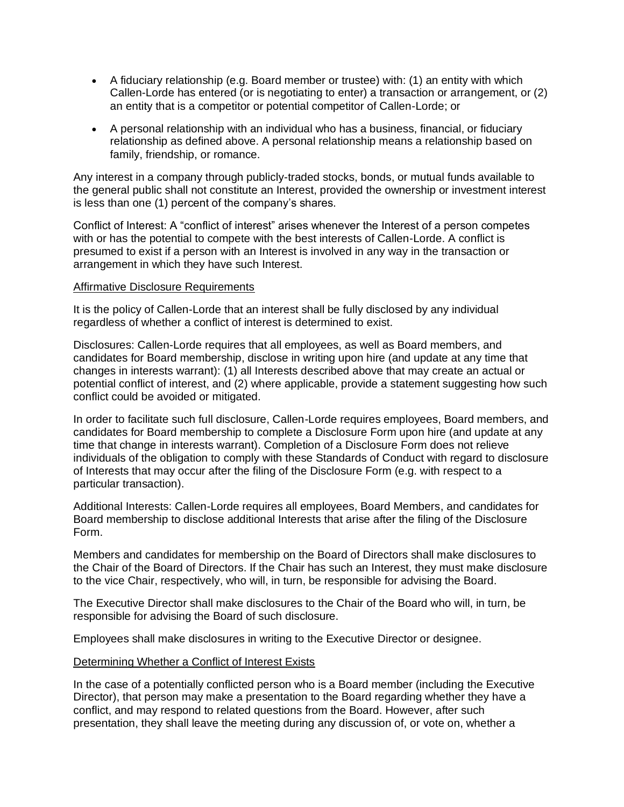- A fiduciary relationship (e.g. Board member or trustee) with: (1) an entity with which Callen-Lorde has entered (or is negotiating to enter) a transaction or arrangement, or (2) an entity that is a competitor or potential competitor of Callen-Lorde; or
- A personal relationship with an individual who has a business, financial, or fiduciary relationship as defined above. A personal relationship means a relationship based on family, friendship, or romance.

Any interest in a company through publicly-traded stocks, bonds, or mutual funds available to the general public shall not constitute an Interest, provided the ownership or investment interest is less than one (1) percent of the company's shares.

Conflict of Interest: A "conflict of interest" arises whenever the Interest of a person competes with or has the potential to compete with the best interests of Callen-Lorde. A conflict is presumed to exist if a person with an Interest is involved in any way in the transaction or arrangement in which they have such Interest.

#### Affirmative Disclosure Requirements

It is the policy of Callen-Lorde that an interest shall be fully disclosed by any individual regardless of whether a conflict of interest is determined to exist.

Disclosures: Callen-Lorde requires that all employees, as well as Board members, and candidates for Board membership, disclose in writing upon hire (and update at any time that changes in interests warrant): (1) all Interests described above that may create an actual or potential conflict of interest, and (2) where applicable, provide a statement suggesting how such conflict could be avoided or mitigated.

In order to facilitate such full disclosure, Callen-Lorde requires employees, Board members, and candidates for Board membership to complete a Disclosure Form upon hire (and update at any time that change in interests warrant). Completion of a Disclosure Form does not relieve individuals of the obligation to comply with these Standards of Conduct with regard to disclosure of Interests that may occur after the filing of the Disclosure Form (e.g. with respect to a particular transaction).

Additional Interests: Callen-Lorde requires all employees, Board Members, and candidates for Board membership to disclose additional Interests that arise after the filing of the Disclosure Form.

Members and candidates for membership on the Board of Directors shall make disclosures to the Chair of the Board of Directors. If the Chair has such an Interest, they must make disclosure to the vice Chair, respectively, who will, in turn, be responsible for advising the Board.

The Executive Director shall make disclosures to the Chair of the Board who will, in turn, be responsible for advising the Board of such disclosure.

Employees shall make disclosures in writing to the Executive Director or designee.

#### Determining Whether a Conflict of Interest Exists

In the case of a potentially conflicted person who is a Board member (including the Executive Director), that person may make a presentation to the Board regarding whether they have a conflict, and may respond to related questions from the Board. However, after such presentation, they shall leave the meeting during any discussion of, or vote on, whether a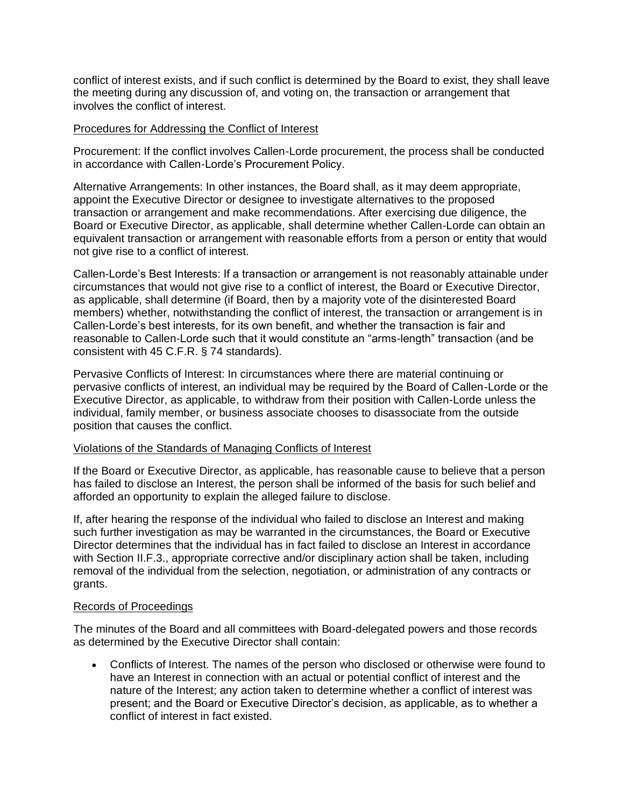conflict of interest exists, and if such conflict is determined by the Board to exist, they shall leave the meeting during any discussion of, and voting on, the transaction or arrangement that involves the conflict of interest.

#### Procedures for Addressing the Conflict of Interest

Procurement: If the conflict involves Callen-Lorde procurement, the process shall be conducted in accordance with Callen-Lorde's Procurement Policy.

Alternative Arrangements: In other instances, the Board shall, as it may deem appropriate, appoint the Executive Director or designee to investigate alternatives to the proposed transaction or arrangement and make recommendations. After exercising due diligence, the Board or Executive Director, as applicable, shall determine whether Callen-Lorde can obtain an equivalent transaction or arrangement with reasonable efforts from a person or entity that would not give rise to a conflict of interest.

Callen-Lorde's Best Interests: If a transaction or arrangement is not reasonably attainable under circumstances that would not give rise to a conflict of interest, the Board or Executive Director, as applicable, shall determine (if Board, then by a majority vote of the disinterested Board members) whether, notwithstanding the conflict of interest, the transaction or arrangement is in Callen-Lorde's best interests, for its own benefit, and whether the transaction is fair and reasonable to Callen-Lorde such that it would constitute an "arms-length" transaction (and be consistent with 45 C.F.R. § 74 standards).

Pervasive Conflicts of Interest: In circumstances where there are material continuing or pervasive conflicts of interest, an individual may be required by the Board of Callen-Lorde or the Executive Director, as applicable, to withdraw from their position with Callen-Lorde unless the individual, family member, or business associate chooses to disassociate from the outside position that causes the conflict.

#### Violations of the Standards of Managing Conflicts of Interest

If the Board or Executive Director, as applicable, has reasonable cause to believe that a person has failed to disclose an Interest, the person shall be informed of the basis for such belief and afforded an opportunity to explain the alleged failure to disclose.

If, after hearing the response of the individual who failed to disclose an Interest and making such further investigation as may be warranted in the circumstances, the Board or Executive Director determines that the individual has in fact failed to disclose an Interest in accordance with Section II.F.3., appropriate corrective and/or disciplinary action shall be taken, including removal of the individual from the selection, negotiation, or administration of any contracts or grants.

#### Records of Proceedings

The minutes of the Board and all committees with Board-delegated powers and those records as determined by the Executive Director shall contain:

• Conflicts of Interest. The names of the person who disclosed or otherwise were found to have an Interest in connection with an actual or potential conflict of interest and the nature of the Interest; any action taken to determine whether a conflict of interest was present; and the Board or Executive Director's decision, as applicable, as to whether a conflict of interest in fact existed.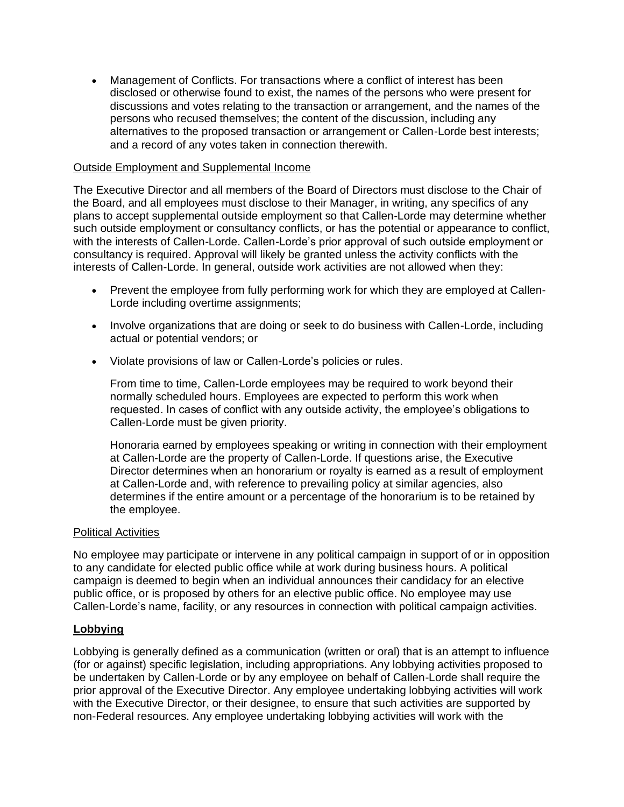• Management of Conflicts. For transactions where a conflict of interest has been disclosed or otherwise found to exist, the names of the persons who were present for discussions and votes relating to the transaction or arrangement, and the names of the persons who recused themselves; the content of the discussion, including any alternatives to the proposed transaction or arrangement or Callen-Lorde best interests; and a record of any votes taken in connection therewith.

#### Outside Employment and Supplemental Income

The Executive Director and all members of the Board of Directors must disclose to the Chair of the Board, and all employees must disclose to their Manager, in writing, any specifics of any plans to accept supplemental outside employment so that Callen-Lorde may determine whether such outside employment or consultancy conflicts, or has the potential or appearance to conflict, with the interests of Callen-Lorde. Callen-Lorde's prior approval of such outside employment or consultancy is required. Approval will likely be granted unless the activity conflicts with the interests of Callen-Lorde. In general, outside work activities are not allowed when they:

- Prevent the employee from fully performing work for which they are employed at Callen-Lorde including overtime assignments;
- Involve organizations that are doing or seek to do business with Callen-Lorde, including actual or potential vendors; or
- Violate provisions of law or Callen-Lorde's policies or rules.

From time to time, Callen-Lorde employees may be required to work beyond their normally scheduled hours. Employees are expected to perform this work when requested. In cases of conflict with any outside activity, the employee's obligations to Callen-Lorde must be given priority.

Honoraria earned by employees speaking or writing in connection with their employment at Callen-Lorde are the property of Callen-Lorde. If questions arise, the Executive Director determines when an honorarium or royalty is earned as a result of employment at Callen-Lorde and, with reference to prevailing policy at similar agencies, also determines if the entire amount or a percentage of the honorarium is to be retained by the employee.

#### Political Activities

No employee may participate or intervene in any political campaign in support of or in opposition to any candidate for elected public office while at work during business hours. A political campaign is deemed to begin when an individual announces their candidacy for an elective public office, or is proposed by others for an elective public office. No employee may use Callen-Lorde's name, facility, or any resources in connection with political campaign activities.

#### **Lobbying**

Lobbying is generally defined as a communication (written or oral) that is an attempt to influence (for or against) specific legislation, including appropriations. Any lobbying activities proposed to be undertaken by Callen-Lorde or by any employee on behalf of Callen-Lorde shall require the prior approval of the Executive Director. Any employee undertaking lobbying activities will work with the Executive Director, or their designee, to ensure that such activities are supported by non-Federal resources. Any employee undertaking lobbying activities will work with the